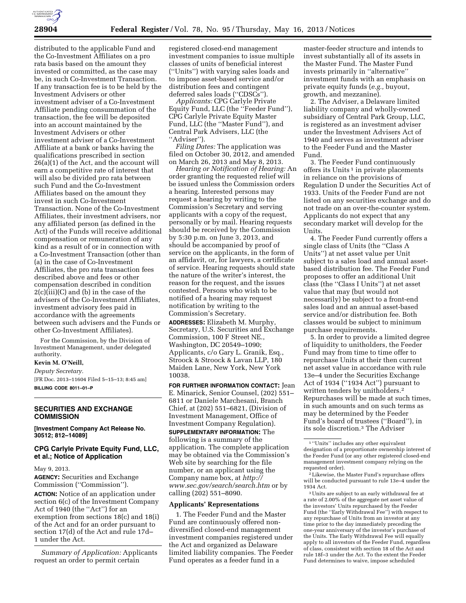

distributed to the applicable Fund and the Co-Investment Affiliates on a pro rata basis based on the amount they invested or committed, as the case may be, in such Co-Investment Transaction. If any transaction fee is to be held by the Investment Advisers or other investment adviser of a Co-Investment Affiliate pending consummation of the transaction, the fee will be deposited into an account maintained by the Investment Advisers or other investment adviser of a Co-Investment Affiliate at a bank or banks having the qualifications prescribed in section 26(a)(1) of the Act, and the account will earn a competitive rate of interest that will also be divided pro rata between such Fund and the Co-Investment Affiliates based on the amount they invest in such Co-Investment Transaction. None of the Co-Investment Affiliates, their investment advisers, nor any affiliated person (as defined in the Act) of the Funds will receive additional compensation or remuneration of any kind as a result of or in connection with a Co-Investment Transaction (other than (a) in the case of Co-Investment Affiliates, the pro rata transaction fees described above and fees or other compensation described in condition 2(c)(iii)(C) and (b) in the case of the advisers of the Co-Investment Affiliates, investment advisory fees paid in accordance with the agreements between such advisers and the Funds or other Co-Investment Affiliates).

For the Commission, by the Division of Investment Management, under delegated authority.

## **Kevin M. O'Neill,**

*Deputy Secretary.*  [FR Doc. 2013–11604 Filed 5–15–13; 8:45 am] **BILLING CODE 8011–01–P** 

# **SECURITIES AND EXCHANGE COMMISSION**

**[Investment Company Act Release No. 30512; 812–14089]** 

# **CPG Carlyle Private Equity Fund, LLC, et al.; Notice of Application**

May 9, 2013.

**AGENCY:** Securities and Exchange Commission (''Commission'').

**ACTION:** Notice of an application under section 6(c) of the Investment Company Act of 1940 (the ''Act'') for an exemption from sections 18(c) and 18(i) of the Act and for an order pursuant to section 17(d) of the Act and rule 17d– 1 under the Act.

*Summary of Application:* Applicants request an order to permit certain

registered closed-end management investment companies to issue multiple classes of units of beneficial interest (''Units'') with varying sales loads and to impose asset-based service and/or distribution fees and contingent deferred sales loads (''CDSCs'').

*Applicants:* CPG Carlyle Private Equity Fund, LLC (the ''Feeder Fund''), CPG Carlyle Private Equity Master Fund, LLC (the ''Master Fund''), and Central Park Advisers, LLC (the ''Adviser'').

*Filing Dates:* The application was filed on October 30, 2012, and amended on March 26, 2013 and May 8, 2013.

*Hearing or Notification of Hearing:* An order granting the requested relief will be issued unless the Commission orders a hearing. Interested persons may request a hearing by writing to the Commission's Secretary and serving applicants with a copy of the request, personally or by mail. Hearing requests should be received by the Commission by 5:30 p.m. on June 3, 2013, and should be accompanied by proof of service on the applicants, in the form of an affidavit, or, for lawyers, a certificate of service. Hearing requests should state the nature of the writer's interest, the reason for the request, and the issues contested. Persons who wish to be notified of a hearing may request notification by writing to the Commission's Secretary.

**ADDRESSES:** Elizabeth M. Murphy, Secretary, U.S. Securities and Exchange Commission, 100 F Street NE., Washington, DC 20549–1090; Applicants, c/o Gary L. Granik, Esq., Stroock & Stroock & Lavan LLP, 180 Maiden Lane, New York, New York 10038.

**FOR FURTHER INFORMATION CONTACT:** Jean E. Minarick, Senior Counsel, (202) 551– 6811 or Daniele Marchesani, Branch Chief, at (202) 551–6821, (Division of Investment Management, Office of Investment Company Regulation).

**SUPPLEMENTARY INFORMATION:** The following is a summary of the application. The complete application may be obtained via the Commission's Web site by searching for the file number, or an applicant using the Company name box, at *[http://](http://www.sec.gov/search/search.htm) [www.sec.gov/search/search.htm](http://www.sec.gov/search/search.htm)* or by calling (202) 551–8090.

### **Applicants' Representations**

1. The Feeder Fund and the Master Fund are continuously offered nondiversified closed-end management investment companies registered under the Act and organized as Delaware limited liability companies. The Feeder Fund operates as a feeder fund in a

master-feeder structure and intends to invest substantially all of its assets in the Master Fund. The Master Fund invests primarily in ''alternative'' investment funds with an emphasis on private equity funds (*e.g.,* buyout, growth, and mezzanine).

2. The Adviser, a Delaware limited liability company and wholly-owned subsidiary of Central Park Group, LLC, is registered as an investment adviser under the Investment Advisers Act of 1940 and serves as investment adviser to the Feeder Fund and the Master Fund.

3. The Feeder Fund continuously offers its Units 1 in private placements in reliance on the provisions of Regulation D under the Securities Act of 1933. Units of the Feeder Fund are not listed on any securities exchange and do not trade on an over-the-counter system. Applicants do not expect that any secondary market will develop for the Units.

4. The Feeder Fund currently offers a single class of Units (the ''Class A Units'') at net asset value per Unit subject to a sales load and annual assetbased distribution fee. The Feeder Fund proposes to offer an additional Unit class (the ''Class I Units'') at net asset value that may (but would not necessarily) be subject to a front-end sales load and an annual asset-based service and/or distribution fee. Both classes would be subject to minimum purchase requirements.

5. In order to provide a limited degree of liquidity to unitholders, the Feeder Fund may from time to time offer to repurchase Units at their then current net asset value in accordance with rule 13e–4 under the Securities Exchange Act of 1934 (''1934 Act'') pursuant to written tenders by unitholders.2 Repurchases will be made at such times, in such amounts and on such terms as may be determined by the Feeder Fund's board of trustees (''Board''), in its sole discretion.3 The Adviser

2Likewise, the Master Fund's repurchase offers will be conducted pursuant to rule 13e–4 under the 1934 Act.

3Units are subject to an early withdrawal fee at a rate of 2.00% of the aggregate net asset value of the investors' Units repurchased by the Feeder Fund (the ''Early Withdrawal Fee'') with respect to any repurchase of Units from an investor at any time prior to the day immediately preceding the one-year anniversary of the investor's purchase of the Units. The Early Withdrawal Fee will equally apply to all investors of the Feeder Fund, regardless of class, consistent with section 18 of the Act and rule 18f–3 under the Act. To the extent the Feeder Fund determines to waive, impose scheduled

<sup>1</sup> ''Units'' includes any other equivalent designation of a proportionate ownership interest of the Feeder Fund (or any other registered closed-end management investment company relying on the requested order).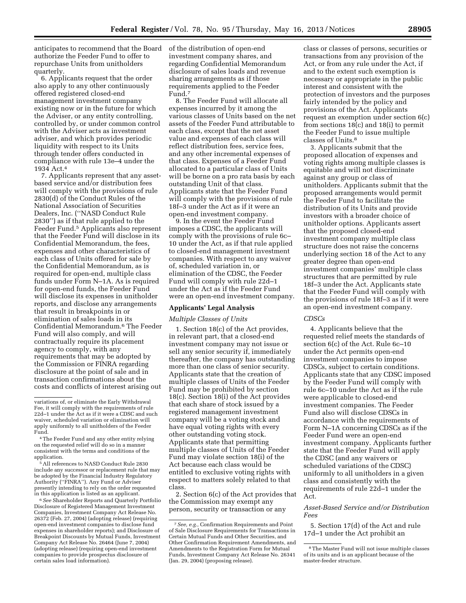anticipates to recommend that the Board of the distribution of open-end authorize the Feeder Fund to offer to repurchase Units from unitholders quarterly.

6. Applicants request that the order also apply to any other continuously offered registered closed-end management investment company existing now or in the future for which the Adviser, or any entity controlling, controlled by, or under common control with the Adviser acts as investment adviser, and which provides periodic liquidity with respect to its Units through tender offers conducted in compliance with rule 13e–4 under the 1934 Act.4

7. Applicants represent that any assetbased service and/or distribution fees will comply with the provisions of rule 2830(d) of the Conduct Rules of the National Association of Securities Dealers, Inc. (''NASD Conduct Rule 2830'') as if that rule applied to the Feeder Fund.5 Applicants also represent that the Feeder Fund will disclose in its Confidential Memorandum, the fees, expenses and other characteristics of each class of Units offered for sale by the Confidential Memorandum, as is required for open-end, multiple class funds under Form N–1A. As is required for open-end funds, the Feeder Fund will disclose its expenses in unitholder reports, and disclose any arrangements that result in breakpoints in or elimination of sales loads in its Confidential Memorandum.6 The Feeder Fund will also comply, and will contractually require its placement agency to comply, with any requirements that may be adopted by the Commission or FINRA regarding disclosure at the point of sale and in transaction confirmations about the costs and conflicts of interest arising out

5All references to NASD Conduct Rule 2830 include any successor or replacement rule that may be adopted by the Financial Industry Regulatory Authority (''FINRA''). Any Fund or Adviser presently intending to rely on the order requested in this application is listed as an applicant.

6*See* Shareholder Reports and Quarterly Portfolio Disclosure of Registered Management Investment Companies, Investment Company Act Release No. 26372 (Feb. 27, 2004) (adopting release) (requiring open-end investment companies to disclose fund expenses in shareholder reports); and Disclosure of Breakpoint Discounts by Mutual Funds, Investment Company Act Release No. 26464 (June 7, 2004) (adopting release) (requiring open-end investment companies to provide prospectus disclosure of certain sales load information).

investment company shares, and regarding Confidential Memorandum disclosure of sales loads and revenue sharing arrangements as if those requirements applied to the Feeder Fund.7

8. The Feeder Fund will allocate all expenses incurred by it among the various classes of Units based on the net assets of the Feeder Fund attributable to each class, except that the net asset value and expenses of each class will reflect distribution fees, service fees, and any other incremental expenses of that class. Expenses of a Feeder Fund allocated to a particular class of Units will be borne on a pro rata basis by each outstanding Unit of that class. Applicants state that the Feeder Fund will comply with the provisions of rule 18f–3 under the Act as if it were an open-end investment company.

9. In the event the Feeder Fund imposes a CDSC, the applicants will comply with the provisions of rule 6c– 10 under the Act, as if that rule applied to closed-end management investment companies. With respect to any waiver of, scheduled variation in, or elimination of the CDSC, the Feeder Fund will comply with rule 22d–1 under the Act as if the Feeder Fund were an open-end investment company.

# **Applicants' Legal Analysis**

## *Multiple Classes of Units*

1. Section 18(c) of the Act provides, in relevant part, that a closed-end investment company may not issue or sell any senior security if, immediately thereafter, the company has outstanding more than one class of senior security. Applicants state that the creation of multiple classes of Units of the Feeder Fund may be prohibited by section 18(c). Section 18(i) of the Act provides that each share of stock issued by a registered management investment company will be a voting stock and have equal voting rights with every other outstanding voting stock. Applicants state that permitting multiple classes of Units of the Feeder Fund may violate section 18(i) of the Act because each class would be entitled to exclusive voting rights with respect to matters solely related to that class.

2. Section 6(c) of the Act provides that the Commission may exempt any person, security or transaction or any

class or classes of persons, securities or transactions from any provision of the Act, or from any rule under the Act, if and to the extent such exemption is necessary or appropriate in the public interest and consistent with the protection of investors and the purposes fairly intended by the policy and provisions of the Act. Applicants request an exemption under section 6(c) from sections 18(c) and 18(i) to permit the Feeder Fund to issue multiple classes of Units.8

3. Applicants submit that the proposed allocation of expenses and voting rights among multiple classes is equitable and will not discriminate against any group or class of unitholders. Applicants submit that the proposed arrangements would permit the Feeder Fund to facilitate the distribution of its Units and provide investors with a broader choice of unitholder options. Applicants assert that the proposed closed-end investment company multiple class structure does not raise the concerns underlying section 18 of the Act to any greater degree than open-end investment companies' multiple class structures that are permitted by rule 18f–3 under the Act. Applicants state that the Feeder Fund will comply with the provisions of rule 18f–3 as if it were an open-end investment company.

### *CDSCs*

4. Applicants believe that the requested relief meets the standards of section 6(c) of the Act. Rule 6c–10 under the Act permits open-end investment companies to impose CDSCs, subject to certain conditions. Applicants state that any CDSC imposed by the Feeder Fund will comply with rule 6c–10 under the Act as if the rule were applicable to closed-end investment companies. The Feeder Fund also will disclose CDSCs in accordance with the requirements of Form N–1A concerning CDSCs as if the Feeder Fund were an open-end investment company. Applicants further state that the Feeder Fund will apply the CDSC (and any waivers or scheduled variations of the CDSC) uniformly to all unitholders in a given class and consistently with the requirements of rule 22d–1 under the Act.

*Asset-Based Service and/or Distribution Fees* 

5. Section 17(d) of the Act and rule 17d–1 under the Act prohibit an

variations of, or eliminate the Early Withdrawal Fee, it will comply with the requirements of rule 22d–1 under the Act as if it were a CDSC and such waiver, scheduled variation or elimination will apply uniformly to all unitholders of the Feeder Fund.

<sup>4</sup>The Feeder Fund and any other entity relying on the requested relief will do so in a manner consistent with the terms and conditions of the application.

<sup>7</sup>*See, e.g.,* Confirmation Requirements and Point of Sale Disclosure Requirements for Transactions in Certain Mutual Funds and Other Securities, and Other Confirmation Requirement Amendments, and Amendments to the Registration Form for Mutual Funds, Investment Company Act Release No. 26341 (Jan. 29, 2004) (proposing release).

<sup>8</sup>The Master Fund will not issue multiple classes of its units and is an applicant because of the master-feeder structure.